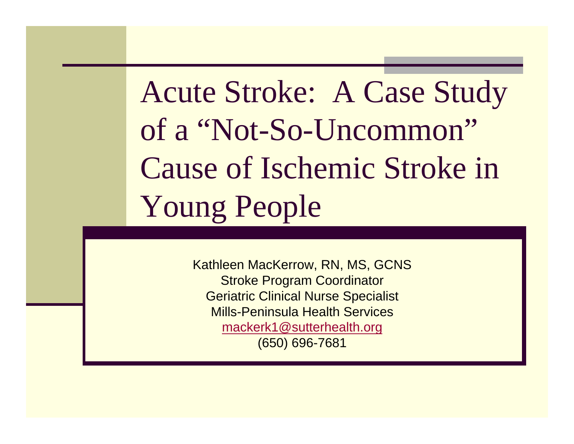# Acute Stroke: A Case Study of a "Not-So-Uncommon" Cause of Ischemic Stroke in Young People

Kathleen MacKerrow, RN, MS, GCNS Stroke Program Coordinator Geriatric Clinical Nurse Specialist Mills-Peninsula Health Servicesmackerk1@sutterhealth.org (650) 696-7681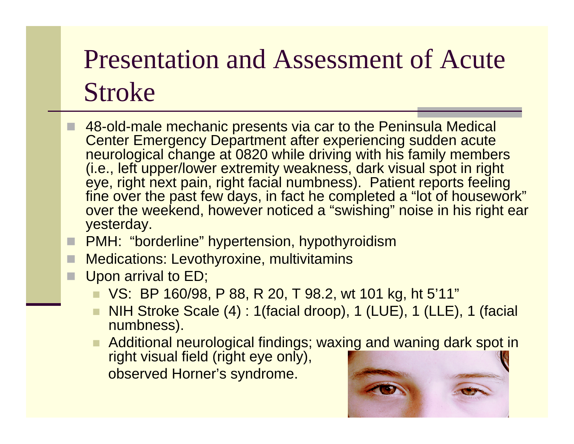## Presentation and Assessment of Acute Stroke

- 48-old-male mechanic presents via car to the Peninsula Medical Center Emergency Department after experiencing sudden acute neurological change at 0820 while driving with his family members (i.e., left upper/lower extremity weakness, dark visual spot in right eye, right next pain, right facial numbness). Patient reports feeling fine over the past few days, in fact he completed a "lot of housework" over the weekend, however noticed a "swishing" noise in his right ear yesterday.
- PMH: "borderline" hypertension, hypothyroidism
- П Medications: Levothyroxine, multivitamins
- П Upon arrival to ED;
	- ٠ VS: BP 160/98, P 88, R 20, T 98.2, wt 101 kg, ht 5'11"
	- $\blacksquare$  NIH Stroke Scale (4) : 1(facial droop), 1 (LUE), 1 (LLE), 1 (facial numbness).
	- Additional neurological findings; waxing and waning dark spot in right visual field (right eye only),
		- observed Horner's syndrome.

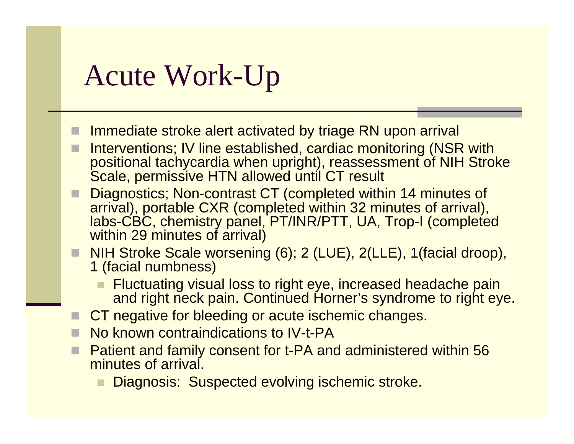#### Acute Work-Up

- Immediate stroke alert activated by triage RN upon arrival
- Interventions; IV line established, cardiac monitoring (NSR with positional tachycardia when upright), reassessment of NIH Stroke Scale, permissive HTN allowed until CT result
- Diagnostics; Non-contrast CT (completed within 14 minutes of arrival), portable CXR (completed within 32 minutes of arrival), labs-CBC, chemistry panel, PT/INR/PTT, UA, Trop-I (completed within 29 minutes of arrival)
- NIH Stroke Scale worsening (6); 2 (LUE), 2(LLE), 1(facial droop), 1 (facial numbness)
	- Fluctuating visual loss to right eye, increased headache pain and right neck pain. Continued Horner's syndrome to right eye.
- CT negative for bleeding or acute ischemic changes.
- П No known contraindications to IV-t-PA
- П Patient and family consent for t-PA and administered within 56 minutes of arrival.
	- Diagnosis: Suspected evolving ischemic stroke.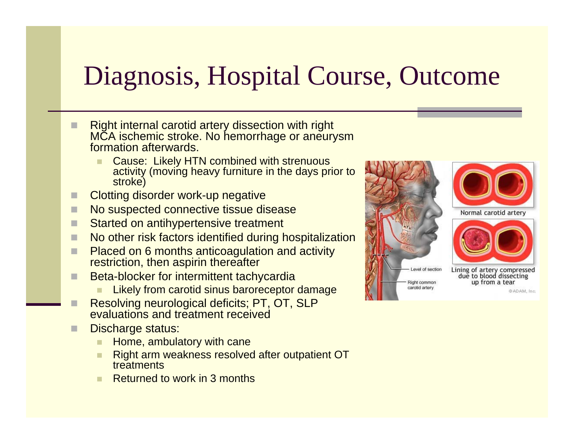### Diagnosis, Hospital Course, Outcome

- П Right internal carotid artery dissection with right MCA ischemic stroke. No hemorrhage or aneurysm formation afterwards.
	- Cause: Likely HTN combined with strenuous activity (moving heavy furniture in the days prior to stroke)
- П Clotting disorder work-up negative
- П No suspected connective tissue disease
- П Started on antihypertensive treatment
- П No other risk factors identified during hospitalization
- П Placed on 6 months anticoagulation and activity restriction, then aspirin thereafter
- П Beta-blocker for intermittent tachycardia
	- Likely from carotid sinus baroreceptor damage
- Resolving neurological deficits; PT, OT, SLP evaluations and treatment received
- П Discharge status:
	- п Home, ambulatory with cane
	- Right arm weakness resolved after outpatient OT treatments
	- Returned to work in 3 months







Lining of artery compressed due to blood dissecting up from a tear

@ADAM, Inc.